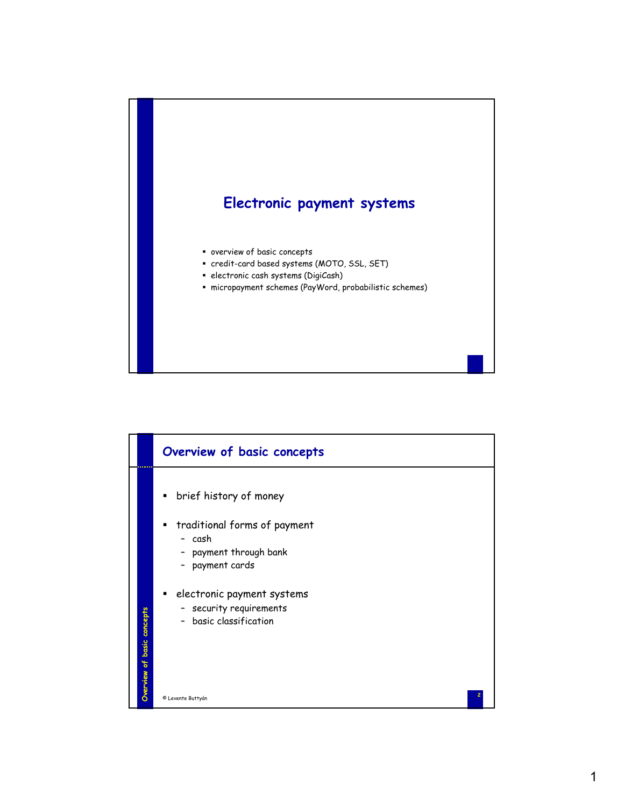

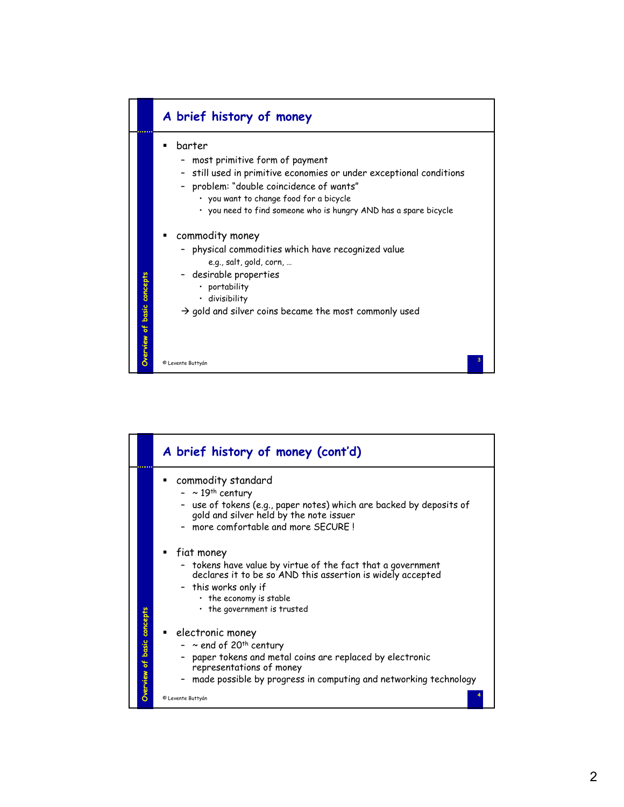

|                            | A brief history of money (cont'd)                                                                                                                                                                                                            |
|----------------------------|----------------------------------------------------------------------------------------------------------------------------------------------------------------------------------------------------------------------------------------------|
|                            | commodity standard<br>$-$ ~ 19 <sup>th</sup> century<br>- use of tokens (e.g., paper notes) which are backed by deposits of<br>gold and silver held by the note issuer<br>- more comfortable and more SECURE!                                |
|                            | fiat money<br>- tokens have value by virtue of the fact that a government<br>declares it to be so AND this assertion is widely accepted<br>- this works only if<br>• the economy is stable<br>• the government is trusted                    |
| Overview of basic concepts | electronic money<br>- $\sim$ end of 20 <sup>th</sup> century<br>paper tokens and metal coins are replaced by electronic<br>representations of money<br>made possible by progress in computing and networking technology<br>© Levente Buttyán |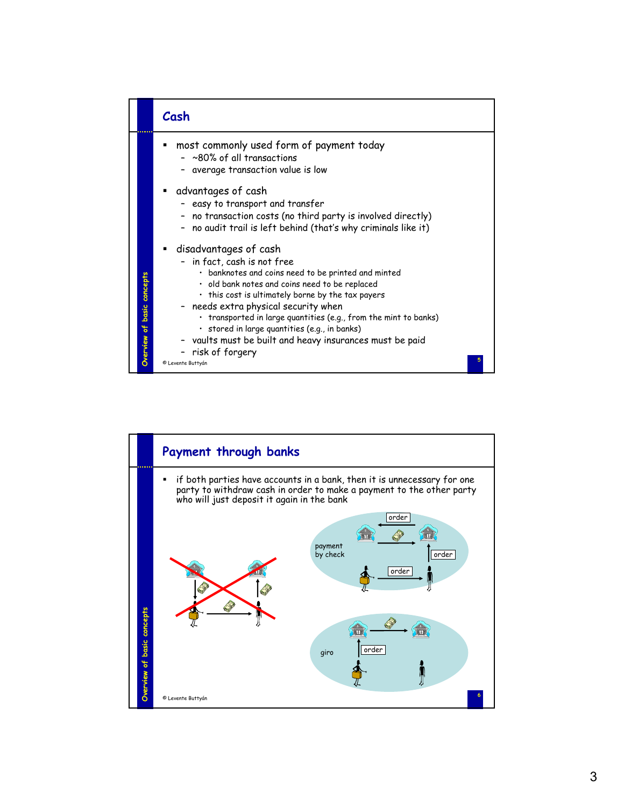

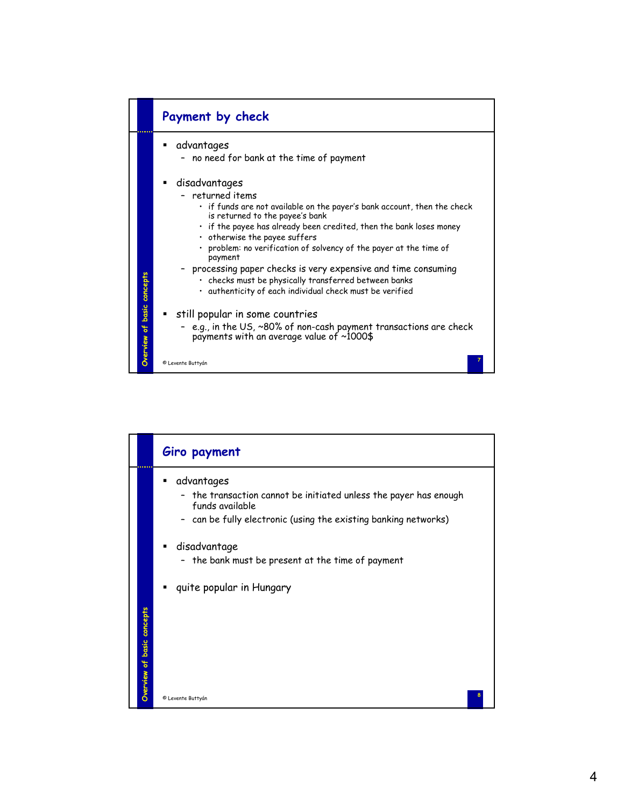

|                            | Giro payment                                                                                            |
|----------------------------|---------------------------------------------------------------------------------------------------------|
|                            | advantages<br>٠<br>- the transaction cannot be initiated unless the payer has enough<br>funds available |
|                            | - can be fully electronic (using the existing banking networks)                                         |
|                            | disadvantage<br>٠<br>the bank must be present at the time of payment<br>$\overline{\phantom{a}}$        |
|                            | quite popular in Hungary<br>٠                                                                           |
|                            |                                                                                                         |
| Overview of basic concepts |                                                                                                         |
|                            | © Levente Buttyán                                                                                       |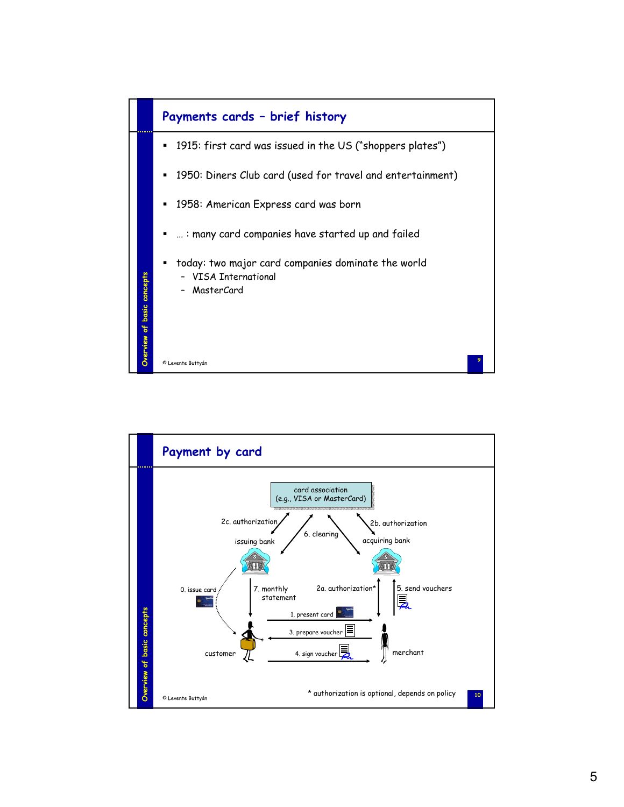

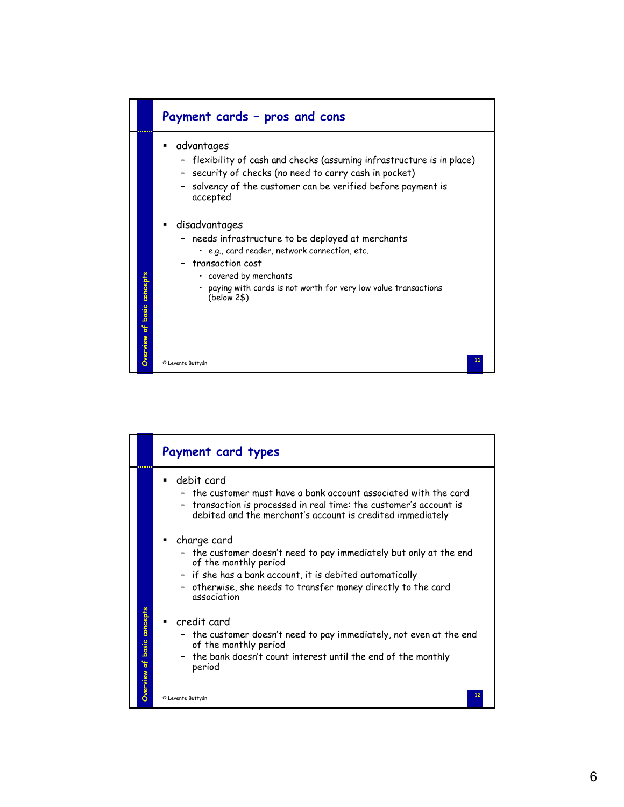

|                            | Payment card types                                                                                                                                                                                                                                     |
|----------------------------|--------------------------------------------------------------------------------------------------------------------------------------------------------------------------------------------------------------------------------------------------------|
|                            | debit card<br>- the customer must have a bank account associated with the card<br>transaction is processed in real time: the customer's account is<br>debited and the merchant's account is credited immediately                                       |
|                            | charge card<br>- the customer doesn't need to pay immediately but only at the end<br>of the monthly period<br>- if she has a bank account, it is debited automatically<br>- otherwise, she needs to transfer money directly to the card<br>association |
| Overview of basic concepts | credit card<br>- the customer doesn't need to pay immediately, not even at the end<br>of the monthly period<br>the bank doesn't count interest until the end of the monthly<br>period<br>© Levente Buttyán                                             |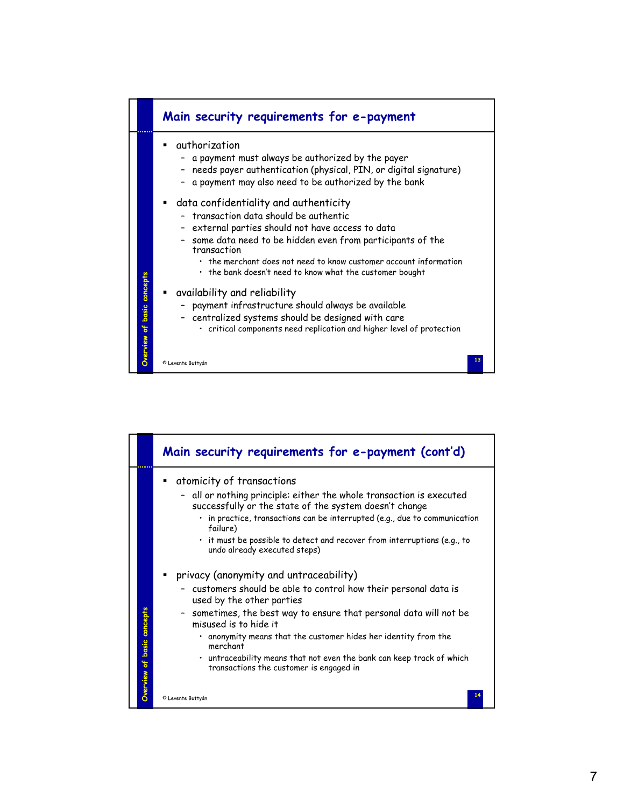

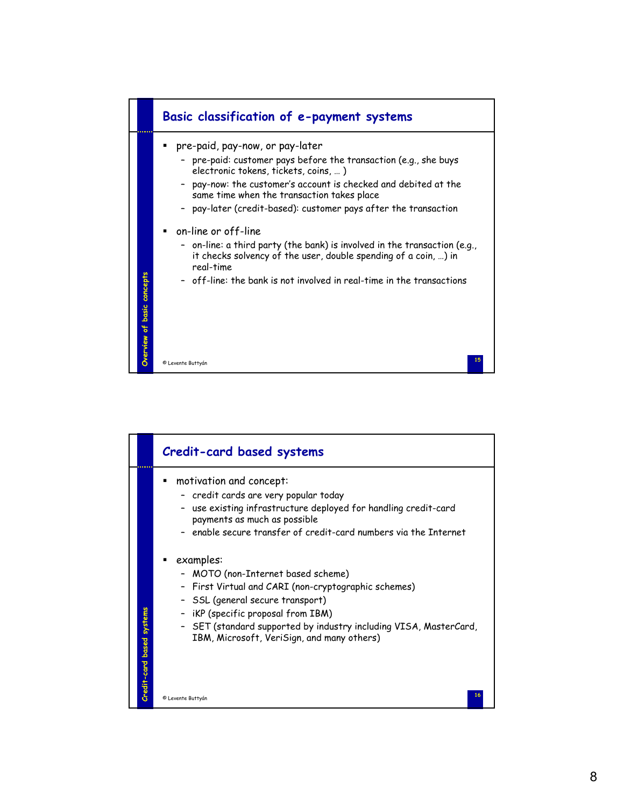

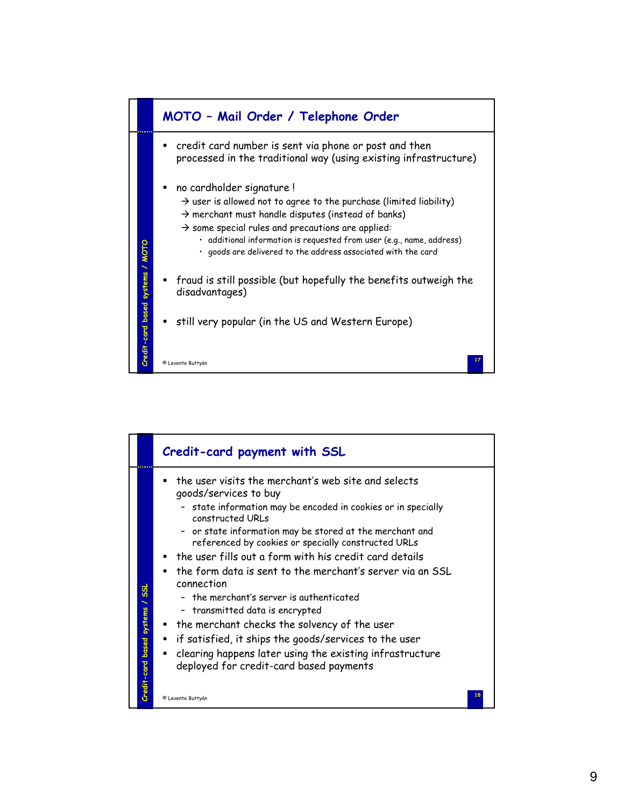

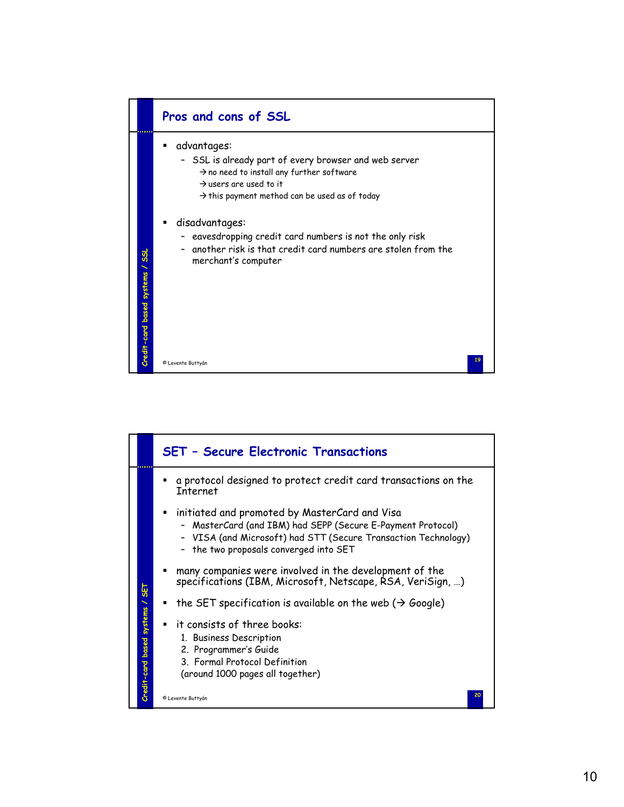

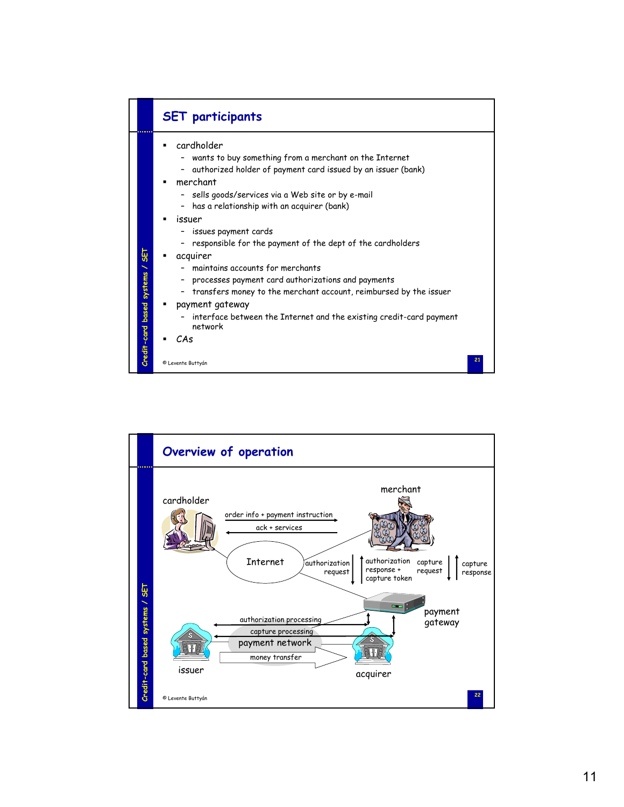

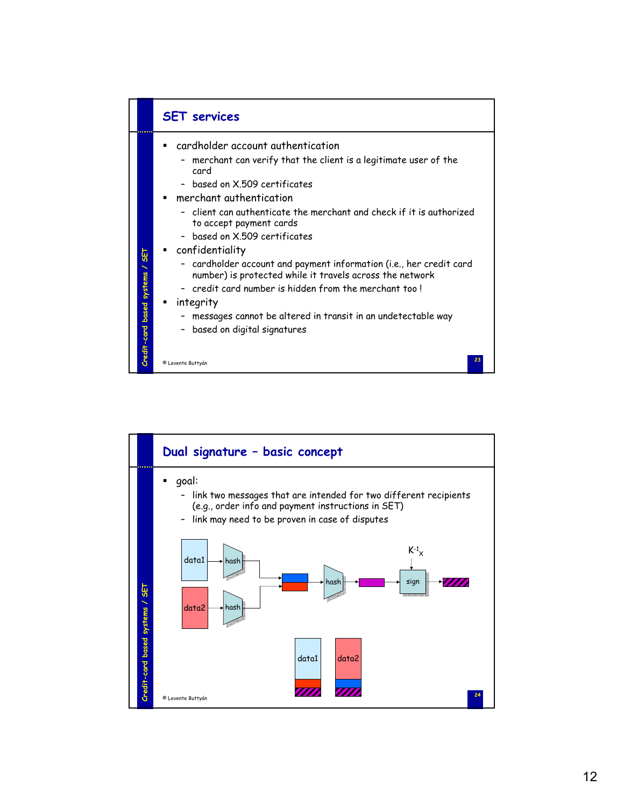

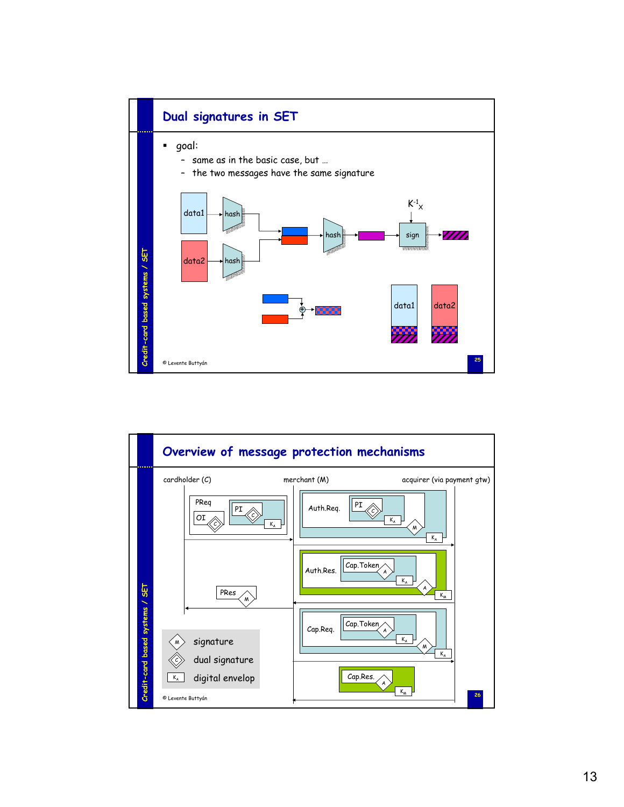

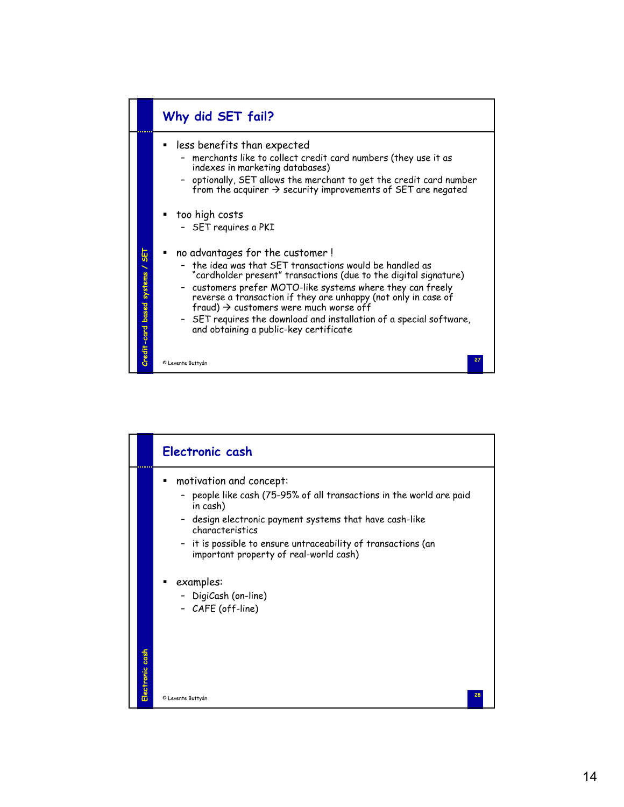

|                 | Electronic cash                                                                                                                                                                                                                                                                                      |
|-----------------|------------------------------------------------------------------------------------------------------------------------------------------------------------------------------------------------------------------------------------------------------------------------------------------------------|
|                 | motivation and concept:<br>- people like cash (75-95% of all transactions in the world are paid<br>in cash)<br>- design electronic payment systems that have cash-like<br>characteristics<br>- it is possible to ensure untraceability of transactions (an<br>important property of real-world cash) |
| Electronic cash | examples:<br>- DigiCash (on-line)<br>- CAFE (off-line)                                                                                                                                                                                                                                               |
|                 | 28<br>© Levente Buttyán                                                                                                                                                                                                                                                                              |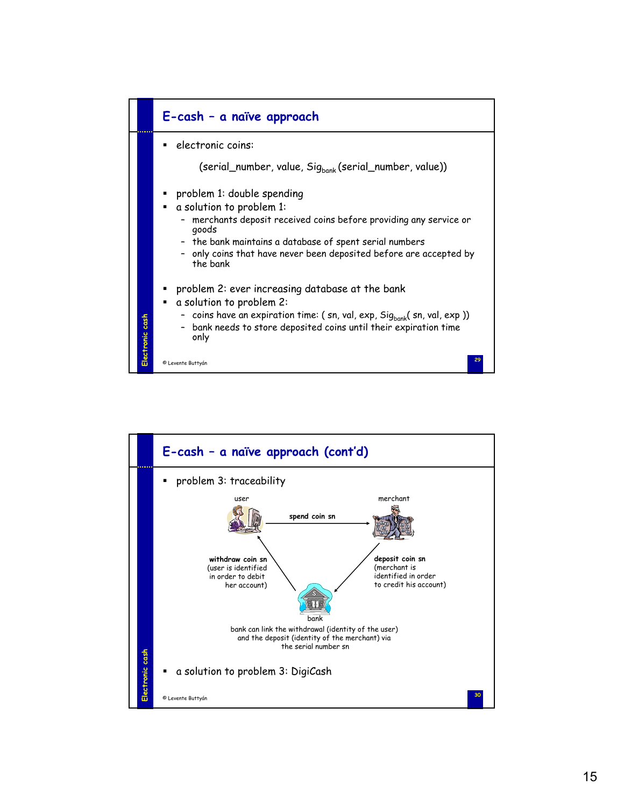

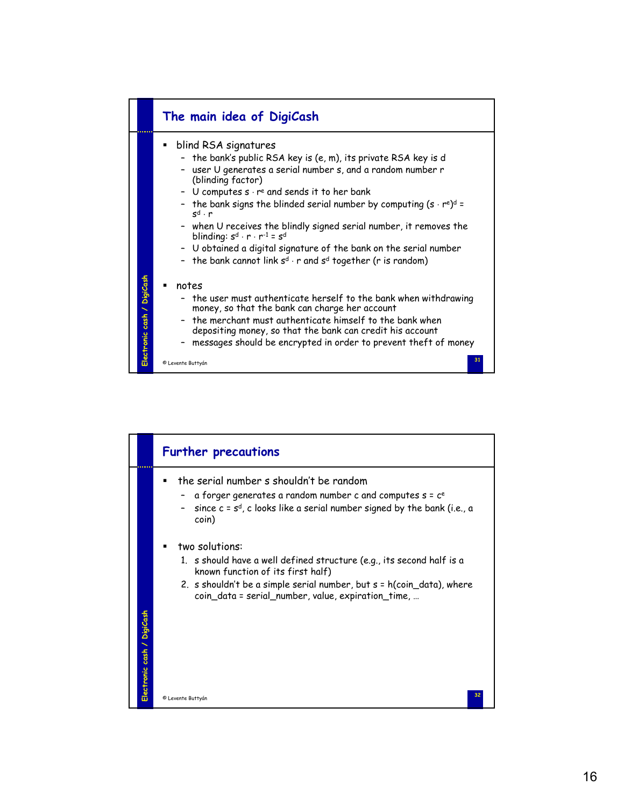

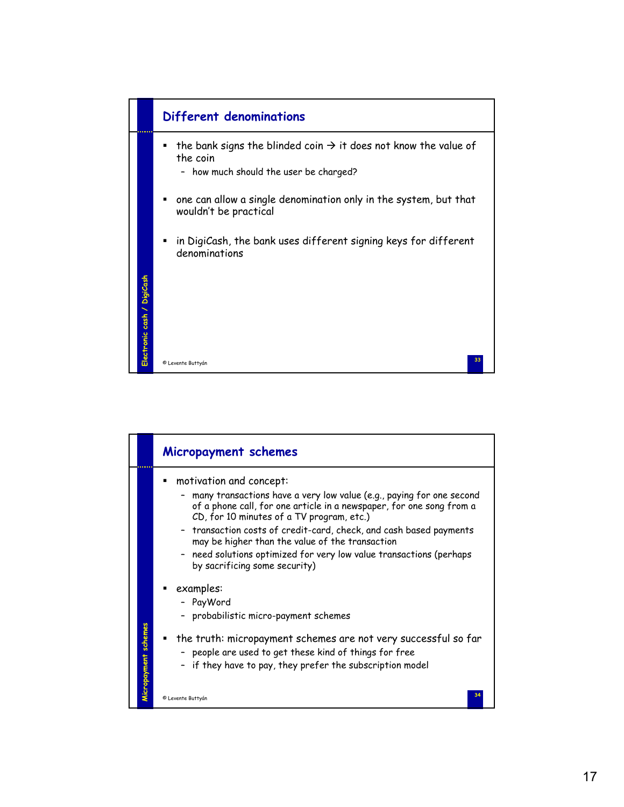

|                      | Micropayment schemes                                                                                                                                                                                                                                                                                                                                                                                                                                |
|----------------------|-----------------------------------------------------------------------------------------------------------------------------------------------------------------------------------------------------------------------------------------------------------------------------------------------------------------------------------------------------------------------------------------------------------------------------------------------------|
|                      | motivation and concept:<br>many transactions have a very low value (e.g., paying for one second<br>of a phone call, for one article in a newspaper, for one song from a<br>CD, for 10 minutes of a TV program, etc.)<br>- transaction costs of credit-card, check, and cash based payments<br>may be higher than the value of the transaction<br>need solutions optimized for very low value transactions (perhaps<br>by sacrificing some security) |
| Micropayment schemes | examples:<br>- PayWord<br>probabilistic micro-payment schemes<br>the truth: micropayment schemes are not very successful so far<br>- people are used to get these kind of things for free<br>if they have to pay, they prefer the subscription model                                                                                                                                                                                                |
|                      | © Levente Buttyán                                                                                                                                                                                                                                                                                                                                                                                                                                   |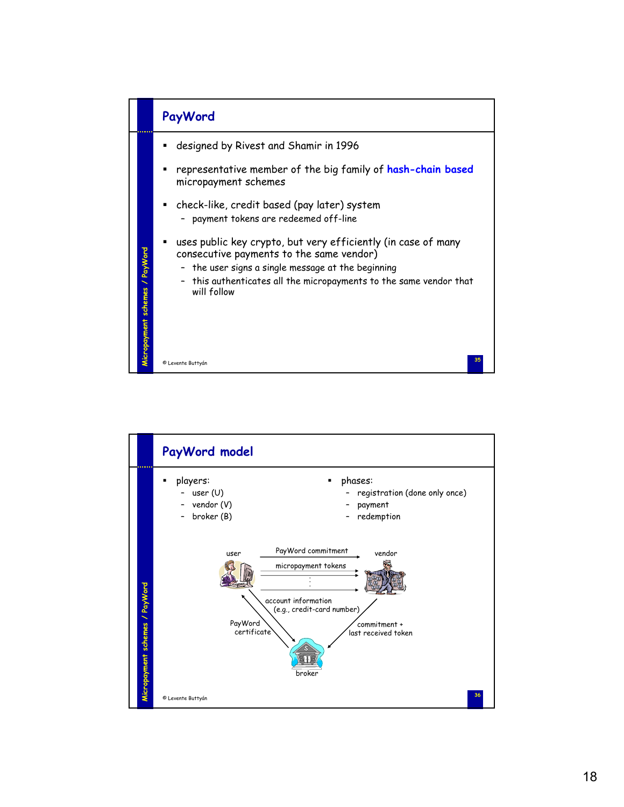

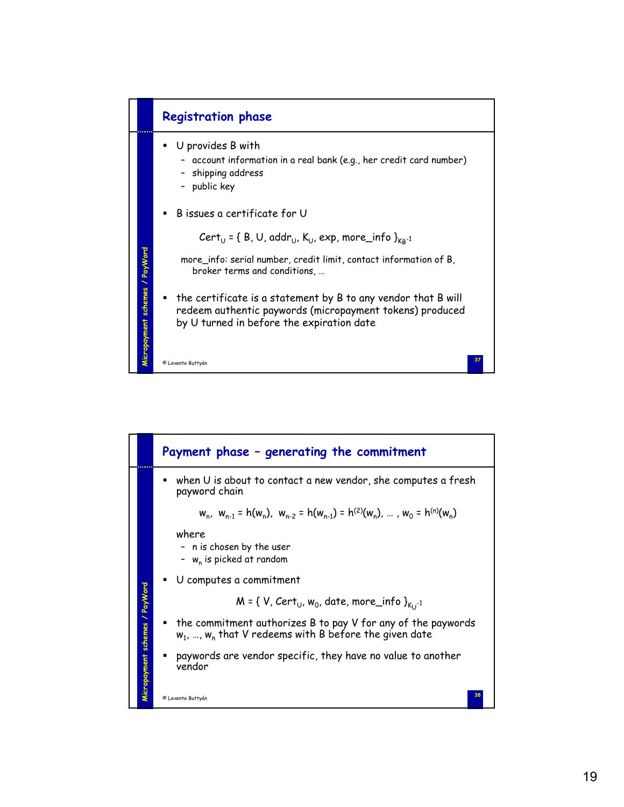

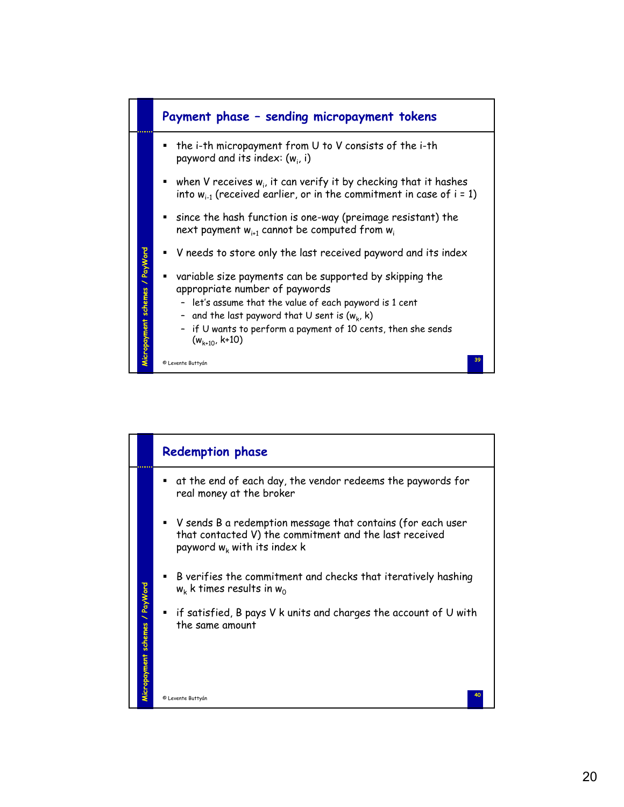

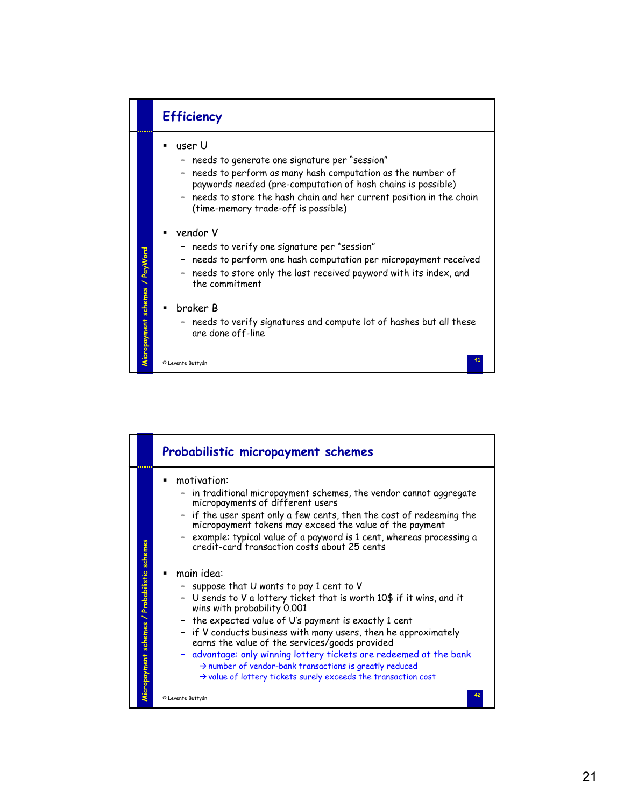

|                                              | Probabilistic micropayment schemes                                                                                                                                                                                                                                                                                                                                                                                                                                                                                                             |
|----------------------------------------------|------------------------------------------------------------------------------------------------------------------------------------------------------------------------------------------------------------------------------------------------------------------------------------------------------------------------------------------------------------------------------------------------------------------------------------------------------------------------------------------------------------------------------------------------|
|                                              | motivation:<br>in traditional micropayment schemes, the vendor cannot aggregate<br>micropayments of different users<br>- if the user spent only a few cents, then the cost of redeeming the<br>micropayment tokens may exceed the value of the payment<br>example: typical value of a payword is 1 cent, whereas processing a<br>credit-card transaction costs about 25 cents                                                                                                                                                                  |
| Micropayment schemes / Probabilistic schemes | main idea:<br>suppose that U wants to pay 1 cent to V<br>- U sends to V a lottery ticket that is worth 10\$ if it wins, and it<br>wins with probability 0.001<br>- the expected value of U's payment is exactly 1 cent<br>- if V conducts business with many users, then he approximately<br>earns the value of the services/goods provided<br>- advantage: only winning lottery tickets are redeemed at the bank<br>> number of vendor-bank transactions is greatly reduced<br>I value of lottery tickets surely exceeds the transaction cost |
|                                              | © Levente Buttyán                                                                                                                                                                                                                                                                                                                                                                                                                                                                                                                              |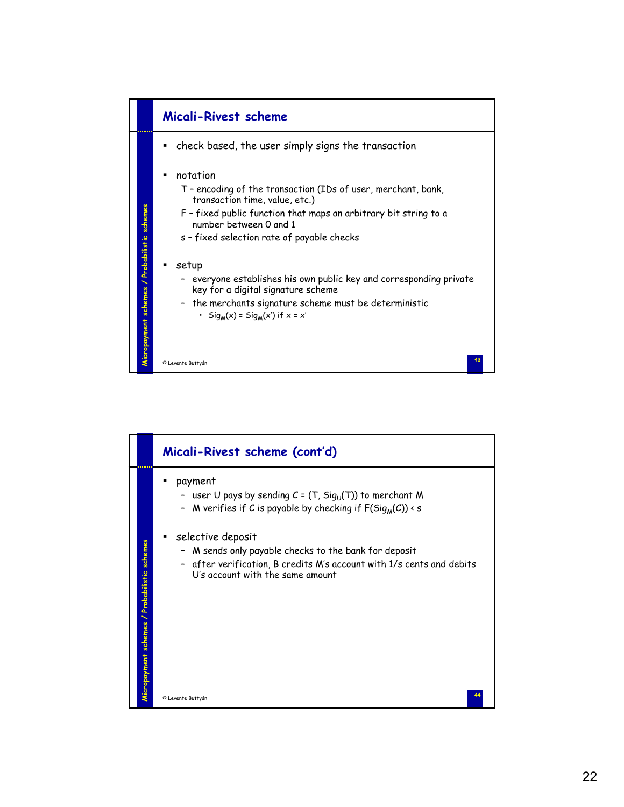

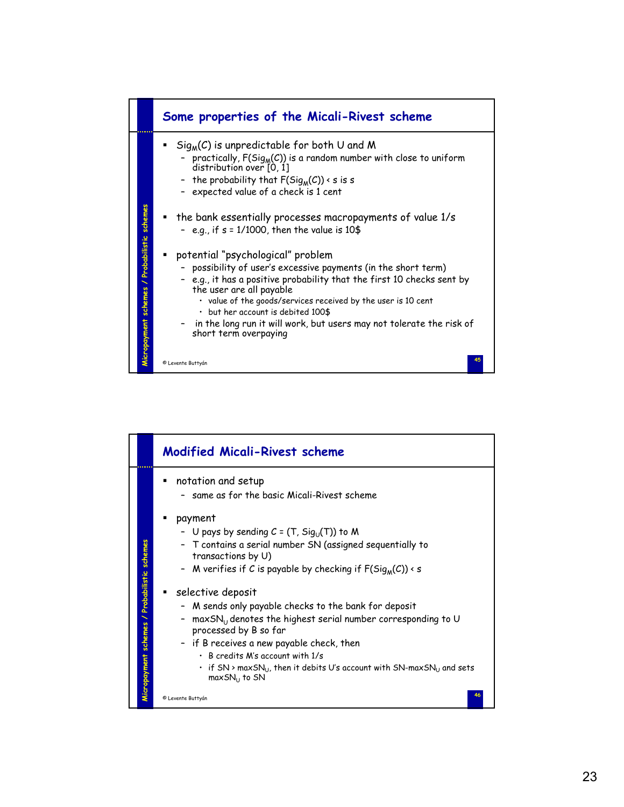

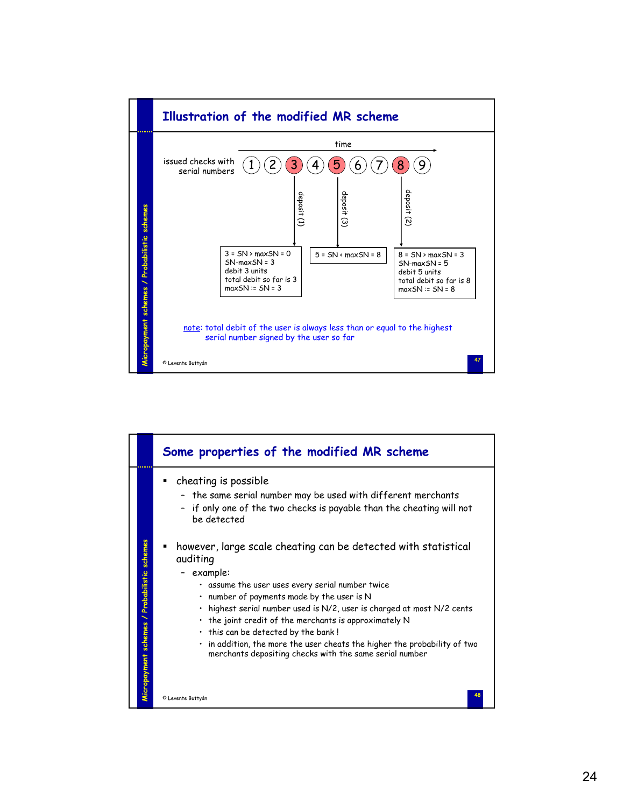